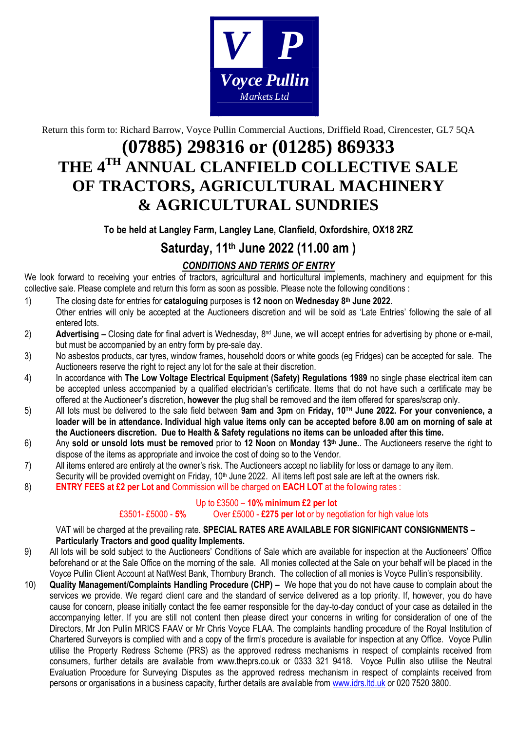

Return this form to: Richard Barrow, Voyce Pullin Commercial Auctions, Driffield Road, Cirencester, GL7 5QA

## **(07885) 298316 or (01285) 869333 THE 4 TH ANNUAL CLANFIELD COLLECTIVE SALE OF TRACTORS, AGRICULTURAL MACHINERY & AGRICULTURAL SUNDRIES**

#### **To be held at Langley Farm, Langley Lane, Clanfield, Oxfordshire, OX18 2RZ**

### **Saturday, 11 th June 2022 (11.00 am )**

#### *CONDITIONS AND TERMS OF ENTRY*

We look forward to receiving your entries of tractors, agricultural and horticultural implements, machinery and equipment for this collective sale. Please complete and return this form as soon as possible. Please note the following conditions :

- 1) The closing date for entries for **cataloguing** purposes is **12 noon** on **Wednesday 8 th June 2022**. Other entries will only be accepted at the Auctioneers discretion and will be sold as 'Late Entries' following the sale of all entered lots.
- 2) **Advertising** Closing date for final advert is Wednesday, 8<sup>nd</sup> June, we will accept entries for advertising by phone or e-mail, but must be accompanied by an entry form by pre-sale day.
- 3) No asbestos products, car tyres, window frames, household doors or white goods (eg Fridges) can be accepted for sale. The Auctioneers reserve the right to reject any lot for the sale at their discretion.
- 4) In accordance with **The Low Voltage Electrical Equipment (Safety) Regulations 1989** no single phase electrical item can be accepted unless accompanied by a qualified electrician's certificate. Items that do not have such a certificate may be offered at the Auctioneer's discretion, **however** the plug shall be removed and the item offered for spares/scrap only.
- 5) All lots must be delivered to the sale field between 9am and 3pm on Friday, 10<sup>TH</sup> June 2022. For your convenience, a **loader will be in attendance. Individual high value items only can be accepted before 8.00 am on morning of sale at the Auctioneers discretion. Due to Health & Safety regulations no items can be unloaded after this time.**
- 6) Any **sold or unsold lots must be removed** prior to **12 Noon** on **Monday 13 th June.**. The Auctioneers reserve the right to dispose of the items as appropriate and invoice the cost of doing so to the Vendor.
- 7) All items entered are entirely at the owner's risk. The Auctioneers accept no liability for loss or damage to any item.
- Security will be provided overnight on Friday, 10<sup>th</sup> June 2022. All items left post sale are left at the owners risk.
- 8) **ENTRY FEES at £2 per Lot and** Commission will be charged on **EACH LOT** at the following rates :

#### Up to £3500 – **10% minimum £2 per lot**

#### £3501- £5000 - **5%** Over £5000 - **£275 per lot** or by negotiation for high value lots

VAT will be charged at the prevailing rate. **SPECIAL RATES ARE AVAILABLE FOR SIGNIFICANT CONSIGNMENTS – Particularly Tractors and good quality Implements.**

- 9) All lots will be sold subject to the Auctioneers' Conditions of Sale which are available for inspection at the Auctioneers' Office beforehand or at the Sale Office on the morning of the sale. All monies collected at the Sale on your behalf will be placed in the Voyce Pullin Client Account at NatWest Bank, Thornbury Branch. The collection of all monies is Voyce Pullin's responsibility.
- 10) **Quality Management/Complaints Handling Procedure (CHP) –** We hope that you do not have cause to complain about the services we provide. We regard client care and the standard of service delivered as a top priority. If, however, you do have cause for concern, please initially contact the fee earner responsible for the day-to-day conduct of your case as detailed in the accompanying letter. If you are still not content then please direct your concerns in writing for consideration of one of the Directors, Mr Jon Pullin MRICS FAAV or Mr Chris Voyce FLAA. The complaints handling procedure of the Royal Institution of Chartered Surveyors is complied with and a copy of the firm's procedure is available for inspection at any Office. Voyce Pullin utilise the Property Redress Scheme (PRS) as the approved redress mechanisms in respect of complaints received from consumers, further details are available from www.theprs.co.uk or 0333 321 9418. Voyce Pullin also utilise the Neutral Evaluation Procedure for Surveying Disputes as the approved redress mechanism in respect of complaints received from **PERSONS OF A CONSULTER CONSULTS ARE CONSULTS ARE COLUMN THE COLUMN THE COLUMN THE COLUMN THE COLUMN THE COLUMN THE COLUMN THE COLUMN THE COLUMN THE COLUMN THE COLUMN THE COLUMN THE COLUMN THE COLUMN THE COLUMN THE COLUMN**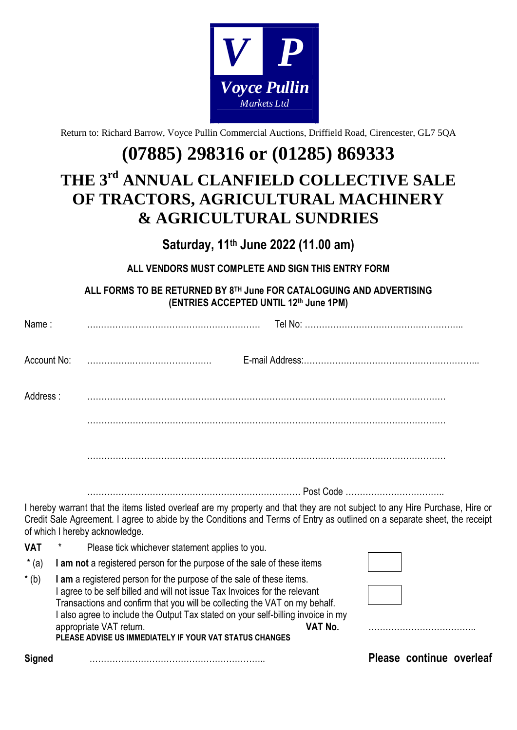

Return to: Richard Barrow, Voyce Pullin Commercial Auctions, Driffield Road, Cirencester, GL7 5QA

# **(07885) 298316 or (01285) 869333**

# **THE 3 rd ANNUAL CLANFIELD COLLECTIVE SALE OF TRACTORS, AGRICULTURAL MACHINERY & AGRICULTURAL SUNDRIES**

**Saturday, 11 th June 2022 (11.00 am)**

**ALL VENDORS MUST COMPLETE AND SIGN THIS ENTRY FORM**

**ALL FORMS TO BE RETURNED BY 8 TH June FOR CATALOGUING AND ADVERTISING (ENTRIES ACCEPTED UNTIL 12 th June 1PM)**

| <b>Signed</b> |                                                                                                                                                                                                                                                                                                                                                                                                                       | Please continue overleaf |  |  |
|---------------|-----------------------------------------------------------------------------------------------------------------------------------------------------------------------------------------------------------------------------------------------------------------------------------------------------------------------------------------------------------------------------------------------------------------------|--------------------------|--|--|
| $*(b)$        | I am a registered person for the purpose of the sale of these items.<br>I agree to be self billed and will not issue Tax Invoices for the relevant<br>Transactions and confirm that you will be collecting the VAT on my behalf.<br>I also agree to include the Output Tax stated on your self-billing invoice in my<br>VAT No.<br>appropriate VAT return.<br>PLEASE ADVISE US IMMEDIATELY IF YOUR VAT STATUS CHANGES |                          |  |  |
| $*(a)$        | I am not a registered person for the purpose of the sale of these items                                                                                                                                                                                                                                                                                                                                               |                          |  |  |
| <b>VAT</b>    | Please tick whichever statement applies to you.                                                                                                                                                                                                                                                                                                                                                                       |                          |  |  |
|               | I hereby warrant that the items listed overleaf are my property and that they are not subject to any Hire Purchase, Hire or<br>Credit Sale Agreement. I agree to abide by the Conditions and Terms of Entry as outlined on a separate sheet, the receipt<br>of which I hereby acknowledge.                                                                                                                            |                          |  |  |
|               |                                                                                                                                                                                                                                                                                                                                                                                                                       |                          |  |  |
|               |                                                                                                                                                                                                                                                                                                                                                                                                                       |                          |  |  |
|               |                                                                                                                                                                                                                                                                                                                                                                                                                       |                          |  |  |
| Address:      |                                                                                                                                                                                                                                                                                                                                                                                                                       |                          |  |  |
| Account No:   |                                                                                                                                                                                                                                                                                                                                                                                                                       |                          |  |  |
| Name:         |                                                                                                                                                                                                                                                                                                                                                                                                                       |                          |  |  |